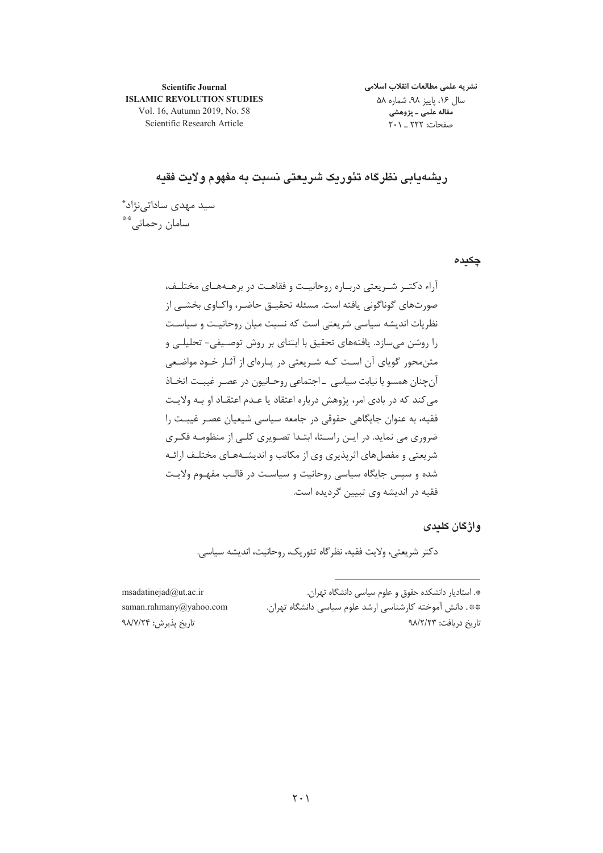**Scientific Journal ISLAMIC REVOLUTION STUDIES** Vol. 16, Autumn 2019, No. 58 Scientific Research Article

نشريه علمى مطالعات انقلاب اسلامى سال ۱۶، پاییز ۹۸، شماره ۵۸ .<br>مقاله علمی ـ پژوهشی صفحات: ٢٢٢ \_ ٢٠١

ریشهدایی نظرگاه تئوریک شریعتی نسبت به مفهوم ولایت فقیه

سید مهدی ساداتے،نژاد\* سامان رحماني.\*\*

چکیدہ

آراء دکتـر شـریعتی دربـاره روحانیـت و فقاهـت در برهـههـای مختلـف، صورتهای گوناگونی یافته است. مسئله تحقیـق حاضـر، واکـاوی بخشـی از نظریات اندیشه سیاسی شریعتی است که نسبت میان روحانیت و سیاست را روشن می سازد. یافتههای تحقیق با ابتنای بر روش توصیفی- تحلیلـی و متن محور گویای آن است کـه شـریعتی در یـارهای از آثـار خـود مواضـعی آنچنان همسو با نیابت سیاسی \_اجتماعی روحـانیون در عصـر غیبـت اتخـاذ می کند که در بادی امر، پژوهش درباره اعتقاد یا عـدم اعتقـاد او بـه ولایـت فقیه، به عنوان جایگاهی حقوقی در جامعه سیاسی شیعیان عصـر غیبـت را ضروری می نماید. در ایـن راسـتا، ابتـدا تصـویری کلـی از منظومـه فکـری شریعتی و مفصل های اثریذیری وی از مکاتب و اندیشـههـای مختلـف ارائـه شده و سپس جایگاه سیاسی روحانیت و سیاست در قالب مفهوم ولایت فقیه در اندیشه وی تبیین گردیده است.

واژگان کلیدی

دكتر شريعتي، ولايت فقيه، نظر گاه تئوريک، روحانيت، انديشه سياسي.

msadatinejad@ut.ac.ir saman.rahmany@yahoo.com تاريخ پذيرش: ۹۸/۷/۲۴

\*. استادیار دانشکده حقوق و علوم سیاسی دانشگاه تهران. \*\*. دانش آموخته کارشناسی ارشد علوم سیاسی دانشگاه تهران. تاريخ دريافت: ٩٨/٢/٢٣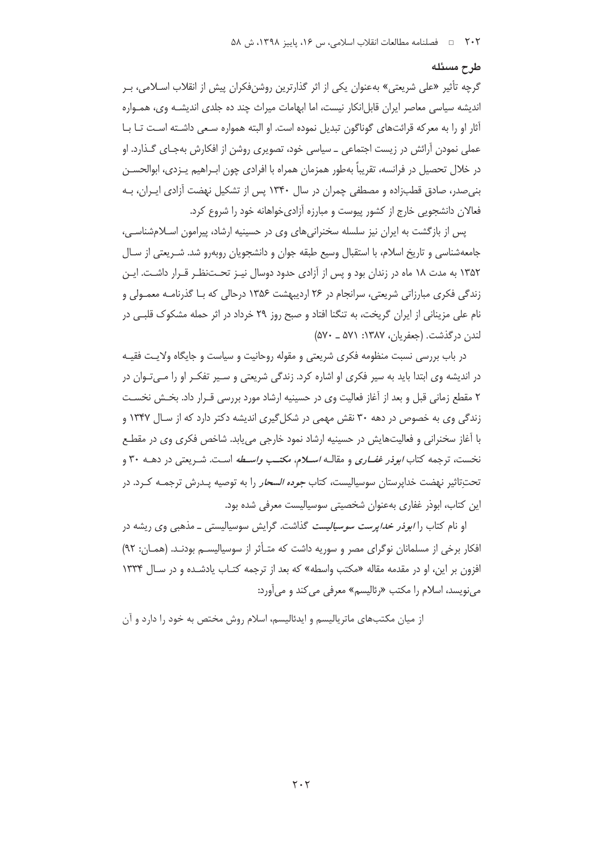#### طرح مسئله

گرچه تأثیر «علی شریعتی» بهعنوان یکی از اثر گذارترین روشنفکران پیش از انقلاب اسـلامی، بـر اندیشه سیاسی معاصر ایران قابل|نکار نیست، اما ابهامات میراث چند ده جلدی اندیشـه وی، همـواره آثار او را به معركه قرائتهاى گوناگون تبديل نموده است. او البته همواره سـعى داشـته اسـت تـا بـا عملی نمودن آرائش در زیست اجتماعی ــ سیاسی خود، تصویری روشن از افکارش بهجـای گـذارد. او در خلال تحصیل در فرانسه، تقریباً بهطور همزمان همراه با افرادی چون ابـراهیم پــزدی، ابوالحســن بنی صدر، صادق قطبزاده و مصطفی چمران در سال ۱۳۴۰ پس از تشکیل نهضت آزادی ایـران، بـه فعالان دانشجویی خارج از کشور پیوست و مبارزه آزادیخواهانه خود را شروع کرد.

پس از بازگشت به ایران نیز سلسله سخنرانی های وی در حسینیه ارشاد، پیرامون اسلامشناسی، جامعهشناسی و تاریخ اسلام، با استقبال وسیع طبقه جوان و دانشجویان روبهرو شد. شـریعتی از سـال ۱۳۵۲ به مدت ۱۸ ماه در زندان بود و پس از آزادی حدود دوسال نیـز تحـتنظـر قـرار داشـت. ایـن زندگی فکری مبارزاتی شریعتی، سرانجام در ۲۶ اردیبهشت ۱۳۵۶ درحالی که بـا گذرنامـه معمـولی و نام علی مزینانی از ایران گریخت، به تنگنا افتاد و صبح روز ۲۹ خرداد در اثر حمله مشکوک قلبے در لندن در گذشت. (جعفریان، ۱۳۸۷: ۵۷۱ ـ ۵۷۰)

در باب بررسی نسبت منظومه فکری شریعتی و مقوله روحانیت و سیاست و جایگاه ولایت فقیـه در اندیشه وی ابتدا باید به سیر فکری او اشاره کرد. زندگی شریعتی و سـیر تفکـر او را مـی تـوان در ٢ مقطع زماني قبل و بعد از آغاز فعاليت وي در حسينيه ارشاد مورد بررسي قـرار داد. بخـش نخسـت زندگی وی به خصوص در دهه ۳۰ نقش مهمی در شکل گیری اندیشه دکتر دارد که از سـال ۱۳۴۷ و با آغاز سخنرانی و فعالیتهایش در حسینیه ارشاد نمود خارجی می یابد. شاخص فکری وی در مقطـع نخست، ترجمه کتاب *ابوذر غفــاری* و مقالــه *اســلام، مکتــب واســطه* اســت. شــریعتبی در دهــه ۳۰ و تحت تاثیر نهضت خدایرستان سوسیالیست، کتاب *جوده السحار* را به توصیه پـدرش ترجمـه کـرد. در این کتاب، ابوذر غفاری بهعنوان شخصیتی سوسیالیست معرفی شده بود.

او نام کتاب را *ابوذر خداپرست سوسیالیست* گذاشت. گرایش سوسیالیستی ــ مذهبی وی ریشه در افكار برخي از مسلمانان نوگراي مصر و سوريه داشت كه متأثر از سوسياليسم بودنـد. (همان: ٩٢) افزون بر این، او در مقدمه مقاله «مکتب واسطه» که بعد از ترجمه کتـاب یادشـده و در سـال ۱۳۳۴ می نویسد، اسلام را مکتب «رئالیسم» معرفی می کند و می آورد:

از میان مکتبهای ماتریالیسم و ایدئالیسم، اسلام روش مختص به خود را دارد و آن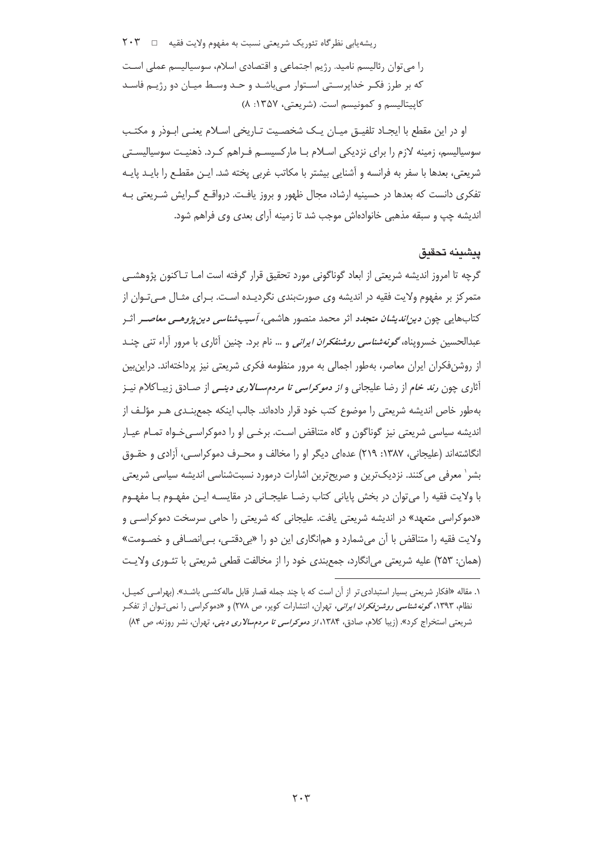ریشهیابی نظرگاه تئوریک شریعتی نسبت به مفهوم ولایت فقیه □ ٢٠٣ را می توان رئالیسم نامید. رژیم اجتماعی و اقتصادی اسلام، سوسیالیسم عملی است که بر طرز فکـر خداپرسـتى اسـتوار مـىباشـد و حـد وسـط ميـان دو رژيـم فاسـد كاپيتاليسم و كمونيسم است. (شريعتي، ١٣٥٧: ٨)

او در این مقطع با ایجـاد تلفیـق میـان یـک شخصـیت تـاریخی اسـلام یعنـی ابـوذر و مکتـب سوسیالیسم، زمینه لازم را برای نزدیکی اسـلام بـا مارکسیســم فـراهم کـرد. ذهنیـت سوسیالیسـتی شريعتي، بعدها با سفر به فرانسه و آشنايي بيشتر با مكاتب غربي يخته شد. ايــن مقطـع را بايــد پايــه تفکری دانست که بعدها در حسینیه ارشاد، مجال ظهور و بروز یافت. درواقـع گـرایش شـریعتی بـه اندیشه چپ و سبقه مذهبی خانوادهاش موجب شد تا زمینه اّرای بعدی وی فراهم شود.

## يشينه تحقيق

گرچه تا امروز اندیشه شریعتی از ابعاد گوناگونی مورد تحقیق قرار گرفته است امـا تــاکنون پژوهشــی متمرکز بر مفهوم ولایت فقیه در اندیشه وی صورتبندی نگردیـده اسـت. بـرای مثـال مـیٍتـوان از کتابهایی چون *دین اندیشان متجدد* اثر محمد منصور هاشمی، *آسیب شناسی دین پژوهـی معاصــر* اثـر عبدالحسین خسروپناه، *گونهشناسی روشنفکران ایرانی* و … نام برد. چنین آثاری با مرور آراء تنبی چنــد از روشنفکران ایران معاصر، بهطور اجمالی به مرور منظومه فکری شریعتی نیز پرداختهاند. دراین بین آثاری چون *رند خام* از رضا علیجانی و *از دموکراسی تا مردم ســالاری دینــی* از صـادق زیبـاکلام نیــز بهطور خاص اندیشه شریعتی را موضوع کتب خود قرار دادهاند. جالب اینکه جمع بنـدی هـر مؤلـف از اندیشه سیاسی شریعتی نیز گوناگون و گاه متناقض است. برخبی او را دموکراسبی خـواه تمـام عیـار انگاشتهاند (علیجانی، ۱۳۸۷: ۲۱۹) عدمای دیگر او را مخالف و محـرف دموکراسـی، آزادی و حقـوق بشر` معرفی می کنند. نزدیک ترین و صریح ترین اشارات درمورد نسبتشناسی اندیشه سیاسی شریعتی با ولايت فقيه را مي توان در بخش پاياني كتاب رضــا عليجــاني در مقايســه ايــن مفهــوم بــا مفهــوم «دموکراسی متعهد» در اندیشه شریعتی یافت. علیجانی که شریعتی را حامی سرسخت دموکراسی و ولايت فقيه را متناقض با آن مي شمارد و همانگاري اين دو را «بي دقتـي، بـي|نصـافي و خصـومت» (همان: ۲۵۳) علیه شریعتی می|نگارد، جمع بندی خود را از مخالفت قطعی شریعتی با تئـوری ولایـت

۱. مقاله «افکار شریعتی بسیار استبدادی تر از آن است که با چند جمله قصار قابل ماله کشـی باشـد». (بهرامـی کمیـل، نظام، ۱۳۹۳، *گونه شناسی روشن فکران ایرانی*، تهران، انتشارات کویر، ص ۲۷۸) و «دموکراسی را نمیتوان از تفکر شریعتی استخراج کرد». (زیبا کلام، صادق، ۱۳۸۴، *از دموکراسی تا مردمسالاری دینی،* تهران، نشر روزنه، ص ۸۴)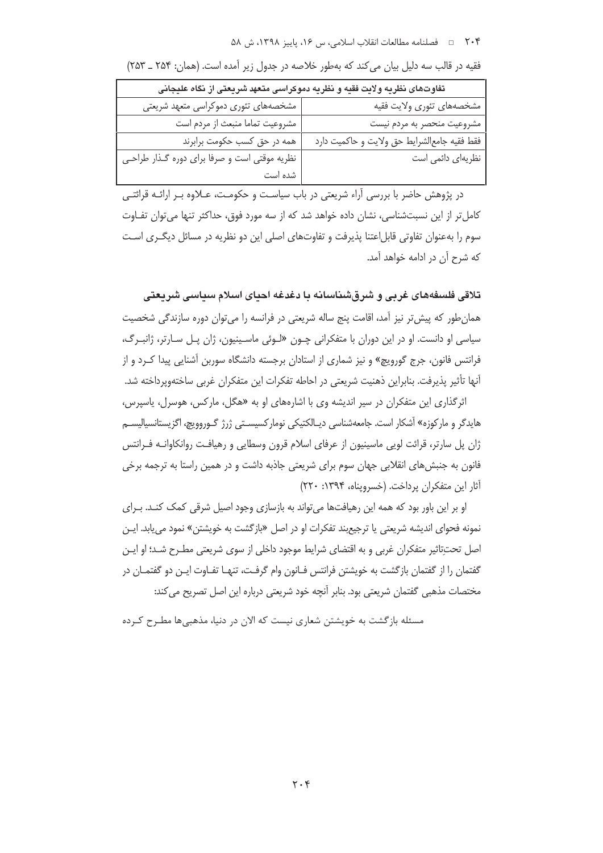#### ۲۰۴ ه ه فصلنامه مطالعات انقلاب اسلامي، س ۱۶، پاييز ۱۳۹۸، ش ۵۸

| تفاوتهای نظریه ولایت فقیه و نظریه دموکراسی متعهد شریعتی از نگاه علیجانی |                                            |  |
|-------------------------------------------------------------------------|--------------------------------------------|--|
| مشخصههای تئوری دموکراسی متعهد شریعتی                                    | مشخصههاى تئورى ولايت فقيه                  |  |
| مشروعيت تماما منبعث از مردم است                                         | مشروعيت منحصر به مردم نيست                 |  |
| همه در حق کسب حکومت برابرند                                             | فقط فقيه جامعالشرايط حق ولايت وحاكميت دارد |  |
| نظریه موقتی است و صرفا برای دوره گـذار طراحـی                           | نظریهای دائمی است                          |  |
| شده است                                                                 |                                            |  |

فقیه در قالب سه دلیل بیان می کند که بهطور خلاصه در جدول زیر آمده است. (همان: ۲۵۴ \_ ۲۵۳)

در پژوهش حاضر با بررسی آراء شریعتی در باب سیاست و حکومت، عـلاوه بـر ارائـه قرائتـی کامل تر از این نسبتشناسی، نشان داده خواهد شد که از سه مورد فوق، حداکثر تنها می توان تفـاوت سوم را بهعنوان تفاوتی قابل|عتنا پذیرفت و تفاوتهای اصلی این دو نظریه در مسائل دیگـری اسـت كه شرح آن در ادامه خواهد آمد.

تلاقی فلسفههای غربی و شرقشناسانه یا دغدغه احیای اسلام سیاسی شریعتی

همان طور که پیش تر نیز آمد، اقامت پنج ساله شریعتی در فرانسه را می توان دوره سازندگی شخصیت سیاسی او دانست. او در این دوران با متفکرانی چـون «لـوئی ماسـینیون، ژان پـل سـارتر، ژانبـرگ، فرانتس فانون، جرج گورویچ» و نیز شماری از استادان برجسته دانشگاه سوربن آشنایی پیدا کـرد و از آنها تأثیر پذیرفت. بنابراین ذهنیت شریعتی در احاطه تفکرات این متفکران غربی ساختهوپرداخته شد.

اثرگذاری این متفکران در سیر اندیشه وی با اشارههای او به «هگل، مارکس، هوسرل، پاسپرس، هایدگر و مارکوزه» آشکار است. جامعهشناسی دیـالکتیکی نومارکسیسـتی ژرژ گـوروویچ، اگزیستانسیالیسـم ژان پل سارتر، قرائت لویی ماسینیون از عرفای اسلام قرون وسطایی و رهیافت روانکاوانـه فـرانتس فانون به جنبشهای انقلابی جهان سوم برای شریعتی جاذبه داشت و در همین راستا به ترجمه برخی آثار این متفکران پرداخت. (خسرویناه، ۱۳۹۴: ۲۲۰)

او بر این باور بود که همه این رهیافتها می تواند به بازسازی وجود اصیل شرقی کمک کنــد. بــرای نمونه فحواي انديشه شريعتي يا ترجيع بند تفكرات او در اصل «بازگشت به خويشتن» نمود مي يابد. ايــن اصل تحتِتاثیر متفکران غربی و به اقتضای شرایط موجود داخلی از سوی شریعتی مطـرح شـد؛ او ایـن گفتمان را از گفتمان بازگشت به خویشتن فرانتس فـانون وام گرفـت، تنهـا تفـاوت ایـن دو گفتمـان در مختصات مذهبی گفتمان شریعتی بود. بنابر آنچه خود شریعتی درباره این اصل تصریح می کند:

مسئله بازگشت به خویشتن شعاری نیست که الان در دنیا، مذهبی ها مطـرح کـرده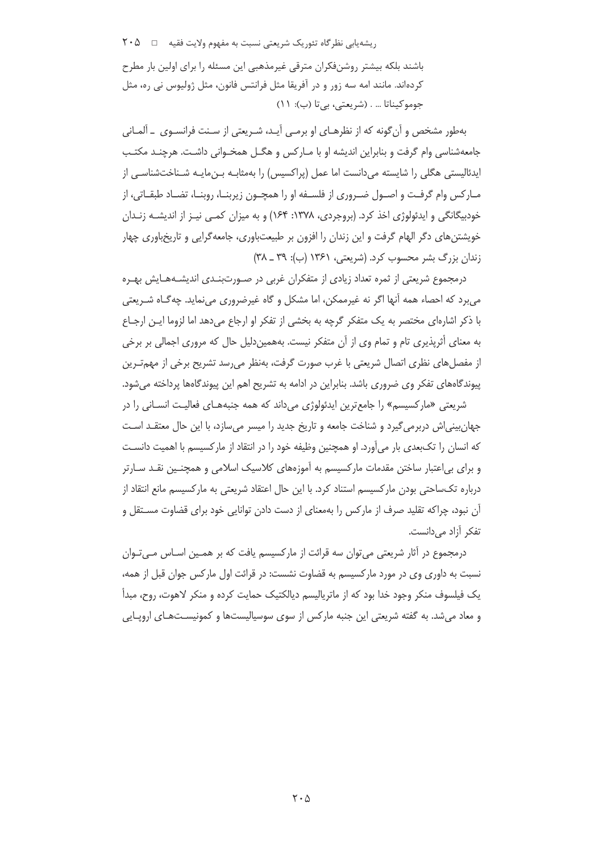ریشه یابی نظر گاه تئوریک شریعتی نسبت به مفهوم ولایت فقیه ⊥ ۲۰۵ باشند بلکه بیشتر روشنفکران مترقی غیرمذهبی این مسئله را برای اولین بار مطرح کردهاند. مانند امه سه زور و در آفریقا مثل فرانتس فانون، مثل ژولیوس نی ره، مثل جوموكيناتا ... . (شريعتي، بي¤ا (ب): ١١)

بهطور مشخص و آن گونه که از نظرهـای او برمـی آیـد، شـریعتی از سـنت فرانسـوی \_ آلمـانی جامعهشناسی وام گرفت و بنابراین اندیشه او با مـارکس و هگــل همخــوانی داشــت. هرچنــد مکتـب ایدئالیستی هگلی را شایسته می(دانست اما عمل (پراکسیس) را بهمثابـه بـن،مایـه شـناختشناسـی از مـارکس وام گرفـت و اصــول ضــروري از فلســفه او را همچــون زيربنــا، روبنــا، تضــاد طبقــاتي، از خودبیگانگی و ایدئولوژی اخذ کرد. (بروجردی، ۱۳۷۸: ۱۶۴) و به میزان کمبی نیـز از اندیشـه زنـدان خویشتن های دگر الهام گرفت و این زندان را افزون بر طبیعتباوری، جامعهگرایی و تاریخباوری چهار زندان بزرگ بشر محسوب کرد. (شریعتی، ۱۳۶۱ (ب): ۳۹ ـ ۳۸)

درمجموع شریعتی از ثمره تعداد زیادی از متفکران غربی در صـورت بنـدی اندیشـههـایش بهـره می برد که احصاء همه آنها اگر نه غیرممکن، اما مشکل و گاه غیرضروری می نماید. چه گـاه شـریعتی با ذکر اشارهای مختصر به یک متفکر گرچه به بخشی از تفکر او ارجاع می دهد اما لزوما ایـن ارجـاع به معنای أثریذیری تام و تمام وی از آن متفکر نیست. بههمیندلیل حال که مروری اجمالی بر برخی از مفصلهای نظری اتصال شریعتی با غرب صورت گرفت، بهنظر می٫رسد تشریح برخی از مهمترین پیوندگاههای تفکر وی ضروری باشد. بنابراین در ادامه به تشریح اهم این پیوندگاهها پرداخته میشود.

شریعتی «مارکسیسم» را جامع ترین ایدئولوژی می داند که همه جنبههـای فعالیـت انســانی را در جهان بینی اش دربرمی گیرد و شناخت جامعه و تاریخ جدید را میسر می سازد، با این حال معتقـد اسـت که انسان را تکبعدی بار میآورد. او همچنین وظیفه خود را در انتقاد از مارکسیسم با اهمیت دانسـت و برای بی|عتبار ساختن مقدمات مارکسیسم به آموزههای کلاسیک اسلامی و همچنـین نقـد سـارتر درباره تکساحتی بودن مارکسیسم استناد کرد. با این حال اعتقاد شریعتی به مارکسیسم مانع انتقاد از آن نبود، چراکه تقلید صرف از مارکس را بهمعنای از دست دادن توانایی خود برای قضاوت مسـتقل و تفکر آزاد مے دانست.

درمجموع در آثار شریعتی می توان سه قرائت از مارکسیسم یافت که بر همـین اسـاس مـی تـوان نسبت به داوری وی در مورد مارکسیسم به قضاوت نشست: در قرائت اول مارکس جوان قبل از همه، یک فیلسوف منکر وجود خدا بود که از ماتریالیسم دیالکتیک حمایت کرده و منکر لاهوت، روح، مبدأ و معاد می شد. به گفته شریعتی این جنبه مارکس از سوی سوسیالیستها و کمونیسـتهـای اروپـایی

 $\mathsf{Y} \cdot \Delta$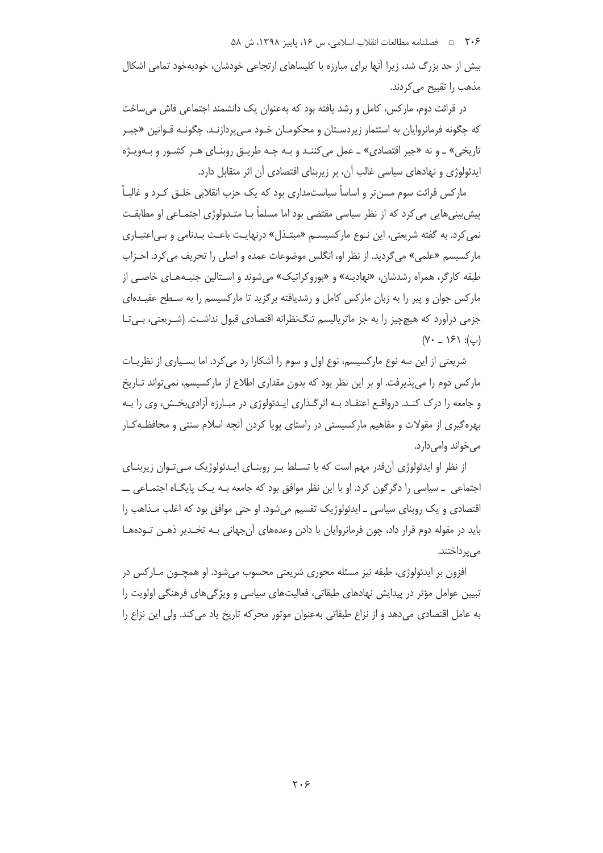٬۰۶ = فصلنامه مطالعات انقلاب اسلامی، س ۱۶، پاییز ۱۳۹۸، ش ۵۸

بیش از حد بزرگ شد، زیرا آنها برای مبارزه با کلیساهای ارتجاعی خودشان، خودبهخود تمامی اشکال مذهب را تقبيح مي كردند.

در قرائت دوم، مارکس، کامل و رشد یافته بود که بهعنوان یک دانشمند اجتماعی فاش می ساخت که چگونه فرمانروایان به استثمار زیردسـتان و محکومـان خـود مـی5ردازنـد. چگونـه قـوانین «جبـر تاریخي» ـ و نه «جبر اقتصادي» ـ عمل مي کننـد و بـه چـه طريـق روبنـاي هـر کشـور و بـهويـژه ایدئولوژی و نهادهای سیاسی غالب آن، بر زیربنای اقتصادی آن اثر متقابل دارد.

مارکس قرائت سوم مسن تر و اساساً سیاستمداری بود که یک حزب انقلابی خلـق کـرد و غالبـاً پیش بینی هایی می کرد که از نظر سیاسی مقتضی بود اما مسلماً بـا متـدولوژی اجتمـاعی او مطابقـت نمي كرد. به گفته شريعتي، اين نـوع ماركسيســم «مبتــذل» درنهايـت باعـث بـدنامي و بـي|عتبـاري ماركسيسم «علمي» مي گرديد. از نظر او، انگلس موضوعات عمده و اصلي را تحريف مي كرد. احـزاب طبقه کارگر، همراه رشدشان، «نهادینه» و «بوروکراتیک» می شوند و اسـتالین جنبـههـای خاصـی از مارکس جوان و پیر را به زبان مارکس کامل و رشدیافته برگزید تا مارکسیسم را به سـطح عقیـدهای جزمی درآورد که هیچچیز را به جز ماترپالیسم تنگ نظرانه اقتصادی قبول نداشـت. (شـریعتی، بـی تـا  $(Y - \lambda \xi) : (\psi)$ 

شریعتی از این سه نوع مارکسیسم، نوع اول و سوم را آشکارا رد می کرد. اما بسـیاری از نظریـات مارکس دوم را می پذیرفت. او بر این نظر بود که بدون مقداری اطلاع از مارکسیسم، نمی تواند تـاریخ و جامعه را درک کنـد. درواقـع اعتقـاد بـه اثرگـذاری ايـدئولوژي در مبـارزه آزادي.خـش، وي را بـه بهره گیری از مقولات و مفاهیم مارکسیستی در راستای پویا کردن آنچه اسلام سنتی و محافظـه کـار مے خواند وامے دارد.

از نظر او ایدئولوژی آنقدر مهم است که با تسـلط بـر روبنـای ایــدئولوژیک مـیتـوان زیربنـای اجتماعی ۔ سیاسی را دگرگون کرد. او با این نظر موافق بود که جامعه بـه یـک پایگـاه اجتمـاعی ــــ اقتصادی و یک روبنای سیاسی ــ ایدئولوژیک تقسیم می شود. او حتی موافق بود که اغلب مــذاهب را باید در مقوله دوم قرار داد، چون فرمانروایان با دادن وعدههای آن جهانی بـه تخـدیر ذهـن تـودههـا مے پر داختند.

افزون بر ایدئولوژی، طبقه نیز مسئله محوری شریعتی محسوب میشود. او همچــون مــار کس در تبیین عوامل مؤثر در پیدایش نهادهای طبقاتی، فعالیتهای سیاسی و ویژگی های فرهنگی اولویت را به عامل اقتصادی می دهد و از نزاع طبقاتی به عنوان موتور محرکه تاریخ یاد می کند. ولی این نزاع را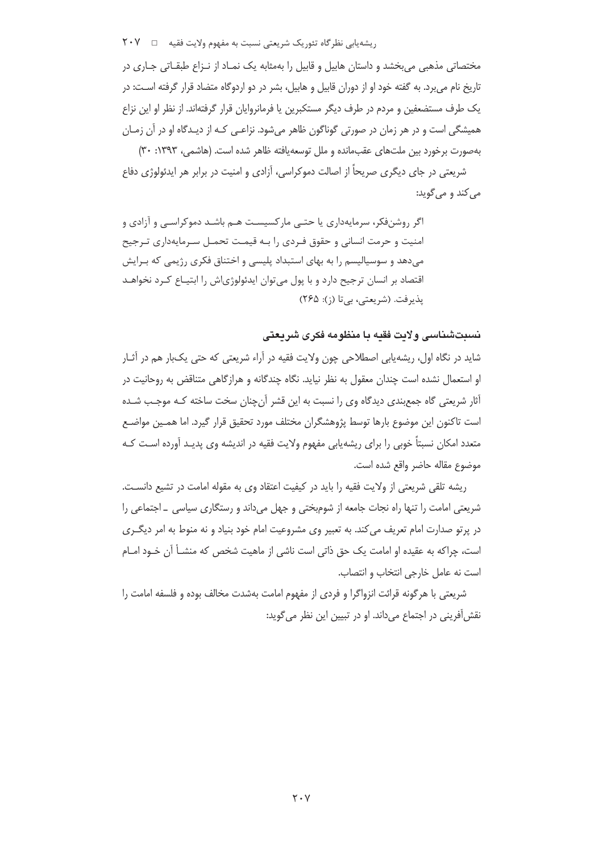ریشهیابی نظرگاه تئوریک شریعتی نسبت به مفهوم ولایت فقیه □ ٢٠٧

مختصاتی مذهبی می بخشد و داستان هابیل و قابیل را بهمثابه یک نمـاد از نـزاع طبقـاتی جـاری در تاریخ نام می برد. به گفته خود او از دوران قابیل و هابیل، بشر در دو اردوگاه متضاد قرار گرفته اسـت: در یک طرف مستضعفین و مردم در طرف دیگر مستکبرین یا فرمانروایان قرار گرفتهاند. از نظر او این نزاع همیشگی است و در هر زمان در صورتی گوناگون ظاهر میشود. نزاعـی کـه از دیـدگاه او در آن زمـان بهصورت برخورد بين ملت@اي عقبءانده و ملل توسعه بافته ظاهر شده است. (هاشمي، ١٣٩٣: ٣٠)

شریعتی در جای دیگری صریحاً از اصالت دموکراسی، آزادی و امنیت در برابر هر ایدئولوژی دفاع مي کند و مي گويد:

اگر روشنفکر، سرمایهداری یا حتبی مارکسیست هـم باشـد دموکراسـی و آزادی و امنیت و حرمت انسانی و حقوق فـردی را بـه قیمـت تحمـل سـرمایهداری تـرجیح می دهد و سوسیالیسم را به بهای استبداد پلیسی و اختناق فکری رژیمی که بـرایش اقتصاد بر انسان ترجیح دارد و با پول می توان ایدئولوژیاش را ابتیـاع کـرد نخواهـد يذيرفت. (شريعتي، بي تا (ز): ٢۶۵)

نسبتشناسی ولایت فقیه با منظومه فکری شریعتی

شاید در نگاه اول، ریشهیابی اصطلاحی چون ولایت فقیه در آراء شریعتی که حتی یکبار هم در آثـار او استعمال نشده است چندان معقول به نظر نیاید. نگاه چندگانه و هرازگاهی متناقض به روحانیت در أثار شریعتی گاه جمع بندی دیدگاه وی را نسبت به این قشر أنچنان سخت ساخته کـه موجـب شـده است تاكنون اين موضوع بارها توسط پژوهشگران مختلف مورد تحقيق قرار گيرد. اما همـين مواضـع متعدد امکان نسبتاً خوبی را برای ریشهپابی مفهوم ولایت فقیه در اندیشه وی پدیـد آورده اسـت کـه موضوع مقاله حاضر واقع شده است.

ریشه تلقی شریعتی از ولایت فقیه را باید در کیفیت اعتقاد وی به مقوله امامت در تشیع دانست. شریعتی امامت را تنها راه نجات جامعه از شومبختی و جهل می داند و رستگاری سیاسی \_ اجتماعی را در پرتو صدارت امام تعریف می کند. به تعبیر وی مشروعیت امام خود بنیاد و نه منوط به امر دیگـری است، حراکه به عقیده او امامت یک چق ذاتی است ناشی از ماهیت شخص که منشــأ آن خـود امــام است نه عامل خارجي انتخاب و انتصاب.

شریعتی با هرگونه قرائت انزواگرا و فردی از مفهوم امامت بهشدت مخالف بوده و فلسفه امامت را نقش آفرینی در اجتماع می داند. او در تبیین این نظر می گوید: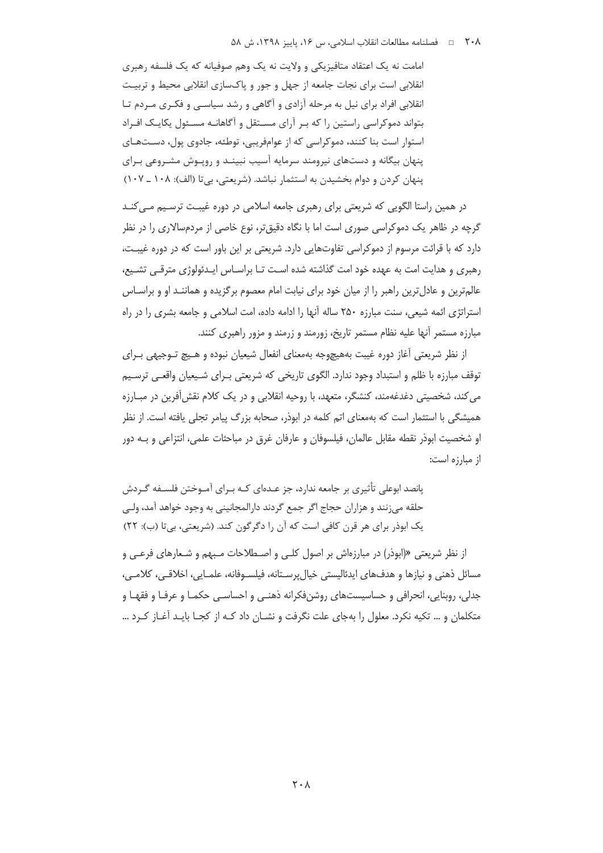امامت نه یک اعتقاد متافیزیکی و ولایت نه یک وهم صوفیانه که یک فلسفه رهبری انقلابی است برای نجات جامعه از جهل و جور و پاکسازی انقلابی محیط و تربیت انقلابی افراد برای نیل به مرحله آزادی و آگاهی و رشد سیاسـی و فکـری مـردم تـا بتواند دموکراسی راستین را که بـر آرای مسـتقل و آگاهانـه مسـئول یکایـک افـراد استوار است بنا کنند، دموکراسی که از عوامفریبی، توطئه، جادوی پول، دستهای پنهان بیگانه و دستهای نیرومند سرمایه آسیب نبینـد و رویـوش مشـروعی بـرای پنهان کردن و دوام بخشیدن به استثمار نباشد. (شریعتی، بیتا (الف): ۱۰۸ ـ ۱۰۷)

در همین راستا الگویی که شریعتی برای رهبری جامعه اسلامی در دوره غیبت ترسیم می کنـد گرچه در ظاهر یک دموکراسی صوری است اما با نگاه دقیق تر، نوع خاصی از مردمسالاری را در نظر دارد که با قرائت مرسوم از دموکراسی تفاوتهایی دارد. شریعتی بر این باور است که در دوره غیبت، رهبری و هدایت امت به عهده خود امت گذاشته شده است تـا براسـاس ایـدئولوژی مترقـی تشـیع، عالم ترین و عادل ترین راهبر را از میان خود برای نیابت امام معصوم برگزیده و هماننـد او و براسـاس استراتژی ائمه شیعی، سنت مبارزه ۲۵۰ ساله آنها را ادامه داده، امت اسلامی و جامعه بشری را در راه مبارزه مستمر آنها عليه نظام مستمر تاريخ، زورمند و زرمند و مزور راهبري كنند.

از نظر شریعتی آغاز دوره غیبت بههیچوجه بهمعنای انفعال شیعیان نبوده و هـیچ تـوجیهی بـرای توقف مبارزه با ظلم و استبداد وجود ندارد. الگوی تاریخی که شریعتی بـرای شـیعیان واقعـی ترسـیم می کند، شخصیتی دغدغهمند، کنشگر، متعهد، با روحیه انقلابی و در یک کلام نقش[فرین در مبـارزه همیشگی با استثمار است که بهمعنای اتم کلمه در ابوذر، صحابه بزرگ پیامر تحلی یافته است. از نظر او شخصيت ابوذر نقطه مقابل عالمان، فيلسوفان و عارفان غرق در مباحثات علمي، انتزاعي و بـه دور از مبارزه است:

یانصد ابوعلی تأثیری بر جامعه ندارد، جز عـدهای کـه بـرای آمـوختن فلســفه گــردش حلقه مي;نند و هزاران حجاج اگر جمع گردند دارالمجانيني به وجود خواهد آمد، ولـي یک ابوذر برای هر قرن کافی است که آن را دگرگون کند. (شریعتی، بی تا (ب): ۲۲)

از نظر شریعتی «(ابوذر) در مبارزهاش بر اصول کلبی و اصـطلاحات مـبهم و شـعارهای فرعـی و مسائل ذهني و نيازها و هدفهاي ايدئاليستي خيال پرسـتانه، فيلسـوفانه، علمـايي، اخلاقـي، كلامـي، جدلي، روبنايي، انحرافي و حساسيستهاي روشنفكرانه ذهنـي و احساسـي حكمـا و عرفـا و فقهـا و متکلمان و … تکیه نکرد. معلول را بهجای علت نگرفت و نشـان داد کـه از کجـا بایـد آغـاز کـرد …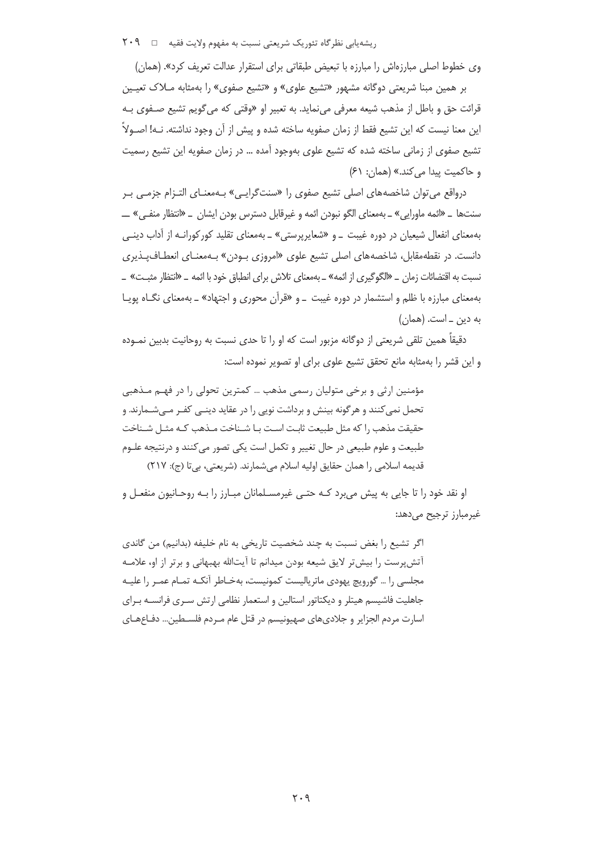ریشهیابی نظرگاه تئوریک شریعتی نسبت به مفهوم ولایت فقیه □ ٢٠٩

وی خطوط اصلی مبارزهاش را مبارزه با تبعیض طبقاتی برای استقرار عدالت تعریف کرد». (همان)

بر همین مبنا شریعتی دوگانه مشهور «تشیع علوی» و «تشیع صفوی» را بهمثابه مـلاک تعیـین قرائت حق و باطل از مذهب شیعه معرفی می نماید. به تعبیر او «وقتی که می گویم تشیع صـفوی بـه این معنا نیست که این تشیع فقط از زمان صفویه ساخته شده و پیش از آن وجود نداشته. نـه! اصـولاً تشیع صفوی از زمانی ساخته شده که تشیع علوی بهوجود آمده … در زمان صفویه این تشیع رسمیت و حاكميت ييدا مي كند.» (همان: ۶۱)

درواقع می توان شاخصههای اصلی تشیع صفوی را «سنتگرایبی» بـهمعنـای التـزام جزمـی بـر سنتها \_ «ائمه ماورايي» \_ بهمعناي الگو نبودن ائمه و غيرقابل دسترس بودن ايشان \_ «انتظار منفـي» \_\_ بهمعنای انفعال شیعیان در دوره غیبت \_و «شعایرپرستی» \_ بهمعنای تقلید کورکورانـه از آداب دینـی دانست. در نقطهمقابل، شاخصههای اصلی تشیع علوی «امروزی بـودن» بـهمعنـای انعطـاف<code>پـذیری</code> نسبت به اقتضائات زمان \_ «الگوگیری از ائمه» \_ بهمعنای تلاش برای انطباق خود با ائمه \_ «انتظار مثبـت» \_ بهمعنای مبارزه با ظلم و استشمار در دوره غیبت \_و «قرآن محوری و اجتهاد» \_ بهمعنای نگـاه پویـا به دین \_ است. (همان)

دقیقاً همین تلقی شریعتی از دوگانه مزبور است که او را تا حدی نسبت به روحانیت بدبین نمـوده و این قشر را بهمثابه مانع تحقق تشیع علوی برای او تصویر نموده است:

مؤمنین ارثی و برخی متولیان رسمی مذهب … کمترین تحولی را در فهـم مـذهبی تحمل نمی کنند و هر گونه بینش و برداشت نویی را در عقاید دینـی کفـر مـیشـمارند. و حقیقت مذهب ,ا که مثل طبیعت ثابت است بـا شـناخت مـذهب کـه مثـل شـناخت طبیعت و علوم طبیعی در حال تغییر و تکمل است یکی تصور می کنند و درنتیجه علـوم قديمه اسلامي را همان حقايق اوليه اسلام مي شمارند. (شريعتي، بي تا (ج): ٢١٧)

او نقد خود را تا جایی به پیش می برد کـه حتـی غیرمسـلمانان مبـارز را بـه روحـانیون منفعـل و غیرمبارز ترجیح میدهد:

اگر تشيع را بغض نسبت به چند شخصيت تاريخي به نام خليفه (بدانيم) من گاندي آتش پرست را بیش تر لایق شیعه بودن میدانم تا آیتالله بهبهانی و برتر از او، علامـه مجلسی را … گورویچ یهودی ماتریالیست کمونیست، بهخـاطر آنکـه تمـام عمـر را علیـه جاهلیت فاشیسم هیتلر و دیکتاتور استالین و استعمار نظامی ارتش سـری فرانســه بـرای اسارت مردم الجزایر و جلادیهای صهیونیسم در قتل عام مـردم فلسـطین... دفـاعهـای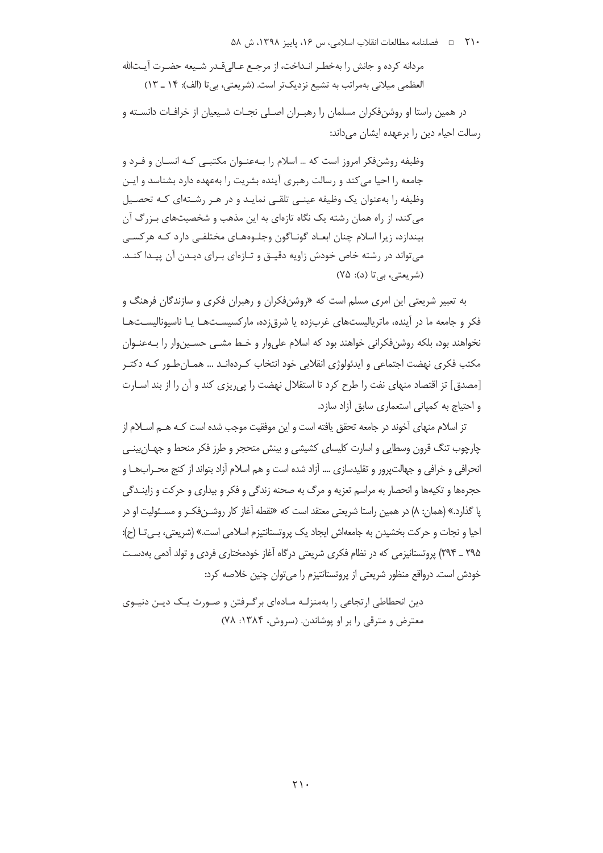مردانه كرده و جانش را بهخطـر انـداخت، از مرجـع عـالىقـدر شـيعه حضـرت آيــتالله العظمى ميلاني بهمراتب به تشيع نزديكتر است. (شريعتي، بي تا (الف): ١۴ \_ ١٣)

در همین راستا او روشنفکران مسلمان را رهبـران اصـلی نجـات شـیعیان از خرافـات دانسـته و رسالت احیاء دین را برعهده ایشان می داند:

وظیفه روشنفکر امروز است که … اسلام را بـهعنـوان مکتبـی کـه انسـان و فـرد و جامعه را احیا می کند و رسالت رهبری آینده بشریت را بهعهده دارد بشناسد و ایـن وظیفه را بهعنوان یک وظیفه عینـی تلقـی نمایـد و در هـر رشـتهای کـه تحصـیل می کند، از راه همان رشته یک نگاه تازمای به این مذهب و شخصیتهای بـزرگ آن بیندازد، زیرا اسلام چنان ابعـاد گونـاگون وجلـوههـای مختلفـی دارد کـه هرکسـی می تواند در رشته خاص خودش زاویه دقیـق و تـازهای بـرای دیـدن آن پیـدا کنـد. (شریعتی، بی تا (د): ۷۵)

به تعبیر شریعتی این امری مسلم است که «روشنِفکران و رهبران فکری و سازندگان فرهنگ و فکر و جامعه ما در آینده، ماتریالیستهای غربزده یا شرق;ده، مارکسیسـتهـا یـا ناسیونالیسـتهـا نخواهند بود، بلکه روشنفکرانی خواهند بود که اسلام علیوار و خـط مشـی حسـین۱ور را بـهعنـوان مکتب فکری نهضت اجتماعی و ایدئولوژی انقلابی خود انتخاب کـردهانـد … همـانِ طـور کـه دکتـر [مصدق] تز اقتصاد منهای نفت را طرح کرد تا استقلال نهضت را پی ریزی کند و آن را از بند اسـارت و احتیاج به کمیانی استعماری سابق آزاد سازد.

تز اسلام منهای آخوند در جامعه تحقق یافته است و این موفقیت موجب شده است کـه هــم اسـلام از چارچوب تنگ قرون وسطایی و اسارت کلیسای کشیشی و بینش متحجر و طرز فکر منحط و جهـان بینـی انحرافي و خرافي و جهالت رور و تقليدسازي …. آزاد شده است و هم اسلام آزاد بتواند از كنج محـرابـهـا و حجرهها و تکیهها و انحصار به مراسم تعزیه و مرگ به صحنه زندگی و فکر و بیداری و حرکت و زاینـدگی یا گذارد.» (همان: ۸) در همین راستا شریعتی معتقد است که «نقطه آغاز کار روشـنفکـر و مسـئولیت او در احیا و نجات و حرکت بخشیدن به جامعهاش ایجاد یک پروتستانتیزم اسلامی است.» (شریعتی، بـی تـا (ح): ۲۹۵ \_ ۲۹۴) پروتستانیزمی که در نظام فکری شریعتی درگاه آغاز خودمختاری فردی و تولد آدمی بهدست خودش است. درواقع منظور شریعتی از پروتستانتیزم را می توان چنین خلاصه کرد:

دین انحطاطی ارتجاعی را بهمنزلـه مـادهای برگـرفتن و صـورت یـک دیـن دنیـوی معترض و مترقی را بر او یوشاندن. (سروش، ۱۳۸۴: ۷۸)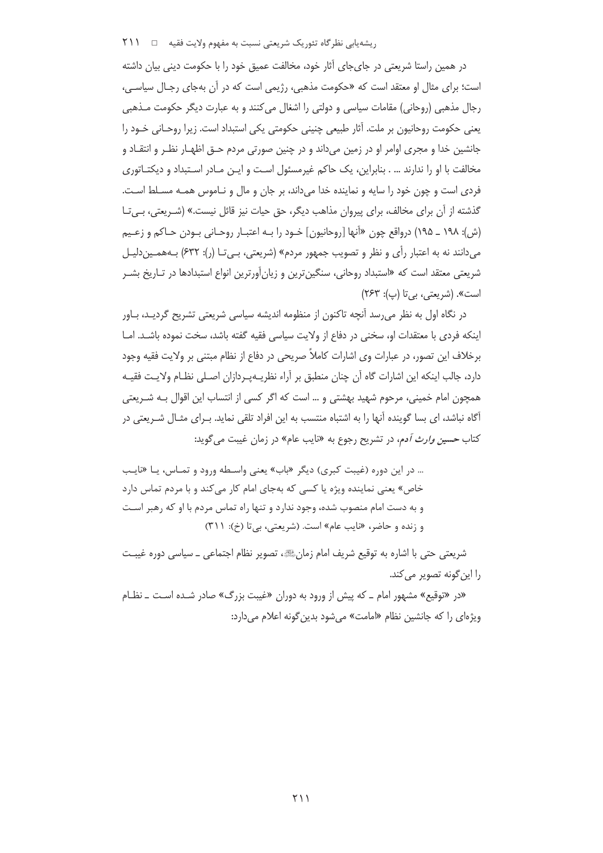#### ریشه یابی نظر گاه تئوریک شریعتی نسبت به مفهوم ولایت فقیه □□ 111

در همین راستا شریعتی در جایجای آثار خود، مخالفت عمیق خود را با حکومت دینی بیان داشته است؛ برای مثال او معتقد است که «حکومت مذهبی، رژیمی است که در آن بهجای رجال سیاسی، رجال مذهبي (روحاني) مقامات سياسي و دولتي را اشغال مي كنند و به عبارت ديگر حكومت مــذهبي یعنی حکومت روحانیون بر ملت. آثار طبیعی چنینی حکومتی یکی استبداد است. زیرا روحـانی خـود را جانشین خدا و مجری اوامر او در زمین میداند و در چنین صورتی مردم حــق اظهــار نظـر و انتقــاد و مخالفت با او را ندارند … . بنابراین، یک حاکم غیرمسئول است و ایـن مـادر اسـتبداد و دیکتـاتوری فردی است و چون خود را سایه و نماینده خدا میداند، بر جان و مال و نـاموس همـه مسـلط اسـت. گذشته از آن برای مخالف، برای پیروان مذاهب دیگر، حق حیات نیز قائل نیست.» (شـریعتی، بـیتا (ش): ١٩٨ ـ ١٩۵) درواقع چون «آنها [روحانيون] خـود را بـه اعتبـار روحـاني بـودن حـاكم و زعـيم می دانند نه به اعتبار رأی و نظر و تصویب جمهور مردم» (شریعتی، بـیتـا (ر): ۶۳۲) بـههمـین دلیـل شریعتی معتقد است که «استبداد روحانی، سنگین ترین و زیان آورترین انواع استبدادها در تـاریخ بشـر است». (شریعتی، بی تا (پ): ۲۶۳)

در نگاه اول به نظر می رسد آنچه تاکنون از منظومه اندیشه سیاسی شریعتی تشریح گردیـد، بـاور اینکه فردی با معتقدات او، سخنی در دفاع از ولایت سیاسی فقیه گفته باشد، سخت نموده باشـد. امـا برخلاف این تصور، در عبارات وی اشارات کاملاً صریحی در دفاع از نظام مبتنی بر ولایت فقیه وجود دارد، جالب اینکه این اشارات گاه آن چنان منطبق بر آراء نظریــهیـردازان اصــلی نظـام ولایـت فقیــه همچون امام خمینی، مرحوم شهید بهشتی و … است که اگر کسی از انتساب این اقوال بـه شـریعتی آگاه نباشد، ای بسا گوینده آنها را به اشتباه منتسب به این افراد تلقی نماید. بـرای مثـال شـریعتی در کتاب حسی*ن وارث آ*دم، در تشریح رجوع به «نایب عام» در زمان غیبت می گوید:

… در این دوره (غیبت کبری) دیگر «باب» یعنی واسطه ورود و تمـاس، یـا «نایـب خاص» یعنی نماینده ویژه یا کسی که بهجای امام کار میکند و با مردم تماس دارد و به دست امام منصوب شده، وجود ندارد و تنها راه تماس مردم با او که رهبر اسـت و زنده و حاضر، «نایب عام» است. (شریعتی، بی تا (خ): ٣١١)

شريعتي حتى با اشاره به توقيع شريف امام زمانﷺ، تصوير نظام اجتماعي \_ سياسي دوره غيبـت را اين گونه تصوير مي كند.

«در «توقیع» مشهور امام ــ که پیش از ورود به دوران «غیبت بزرگ» صادر شـده اسـت ــ نظـام ویژهای را که جانشین نظام «امامت» مے شود بدین گونه اعلام مے دارد: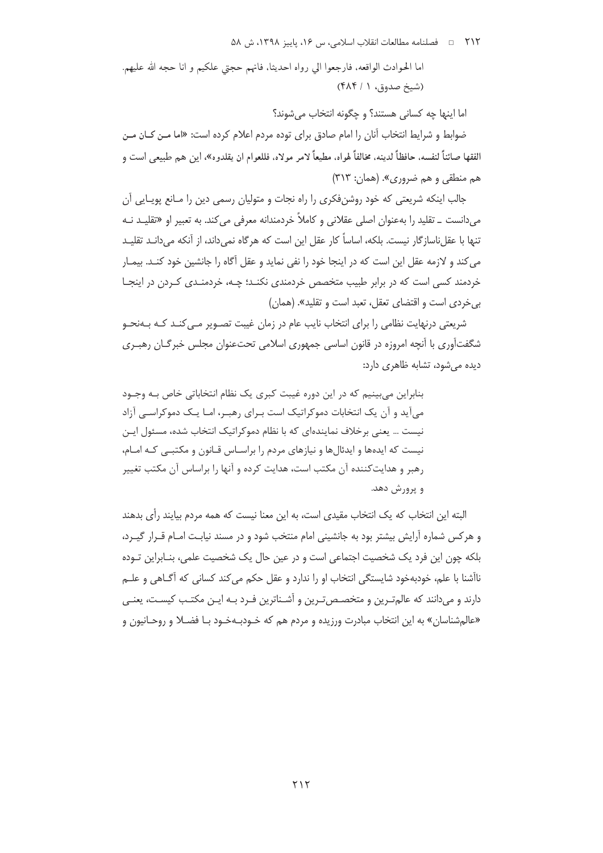اما الحوادث الواقعه، فارجعوا الى رواه احديثاً، فانهم حجتى علكيم و انا حجه الله عليهم. (شیخ صدوق، ۱ / ۴۸۴)

اما اينها چه كساني هستند؟ و چگونه انتخاب مي شوند؟

ضوابط و شرایط انتخاب آنان را امام صادق برای توده مردم اعلام کرده است: «اما مـن کـان مـن الفقها صائناً لنفسه، حافظاً لدينه، مخالفاً لهواه، مطيعاً لامر مولاه، فللعوام ان يقلدوه»، اين هم طبيعي است و هم منطقی و هم ضروری». (همان: ۳۱۳)

جالب اینکه شریعتی که خود روشنفکری را راه نجات و متولیان رسمی دین را مـانع پویـایی آن میدانست \_ تقلید را بهعنوان اصلی عقلانی و کاملاً خردمندانه معرفی می کند. به تعبیر او «تقلیـد نــه تنها با عقل ناساز گار نیست. بلکه، اساساً کار عقل این است که هر گاه نمی داند، از آنکه می دانـد تقلیـد می کند و لازمه عقل این است که در اینجا خود را نفی نماید و عقل آگاه را جانشین خود کنـد. بیمـار خردمند کسی است که در برابر طبیب متخصص خردمندی نکنـد؛ چـه، خردمنـدی کـردن در اینجـا بي خردي است و اقتضاى تعقل، تعبد است و تقليد». (همان)

شریعتی درنهایت نظامی را برای انتخاب نایب عام در زمان غیبت تصـویر مـی کنـد کـه بـهنحـو شگفتآوری با آنچه امروزه در قانون اساسی جمهوری اسلامی تحتعنوان مجلس خبرگـان رهبـری دیدہ مے شود، تشابه ظاهری دارد:

بنابراین می،بینیم که در این دوره غیبت کبری یک نظام انتخاباتی خاص بـه وجـود می آید و آن یک انتخابات دموکراتیک است بـرای رهبـر، امـا یـک دموکراســی آزاد نیست … یعنی برخلاف نمایندهای که با نظام دموکراتیک انتخاب شده، مسئول ایـن نیست که ایدهها و ایدئالها و نیازهای مردم را براسـاس قـانون و مکتبـی کـه امـام، رهبر و هدایتکننده آن مکتب است، هدایت کرده و آنها را براساس آن مکتب تغییر و پرورش دهد.

البته این انتخاب که یک انتخاب مقیدی است، به این معنا نیست که همه مردم بیایند رأی بدهند و هرکس شماره آرایش بیشتر بود به جانشینی امام منتخب شود و در مسند نیابت امـام قـرار گیـرد، بلکه چون این فرد یک شخصیت اجتماعی است و در عین حال یک شخصیت علمی، بنـابراین تـوده ناآشنا با علم، خودبهخود شايستگي انتخاب او را ندارد و عقل حکم مي کند کساني که آگــاهي و علــم دارند و می دانند که عالم تـرین و متخصـص تـرین و آشـناترین فـرد بـه ایـن مکتـب کیسـت، یعنـی «عالمشناسان» به این انتخاب مبادرت ورزیده و مردم هم که خـودبـهخـود بـا فضـلا و روحـانیون و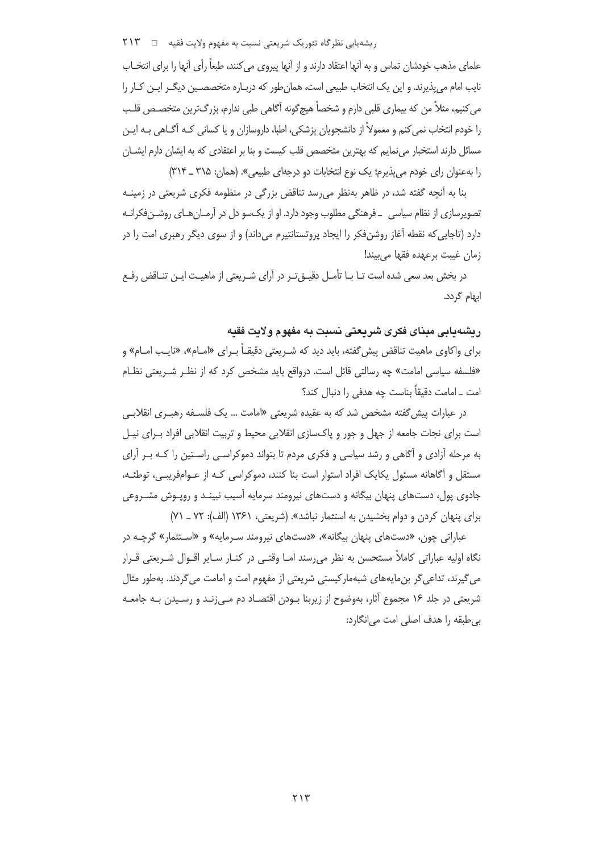, یشه یابی نظر گاه تئوریک شریعتی نسبت به مفهوم ولایت فقیه → T۱۳

علمای مذهب خودشان تماس و به آنها اعتقاد دارند و از آنها پیروی می کنند، طبعاً رأی آنها را برای انتخــاب نایب امام می پذیرند. و این یک انتخاب طبیعی است، همان طور که دربیاره متخصصین دیگیر ایین کیار را می کنیم، مثلاً من که بیماری قلبی دارم و شخصاً هیچگونه آگاهی طبی ندارم، بزرگترین متخصـص قلـب را خودم انتخاب نمی کنم و معمولاً از دانشجویان پزشکی، اطبا، داروسازان و یا کسانی کـه آگــاهی بـه ایــن مسائل دارند استخبار می نمایم که بهترین متخصص قلب کیست و بنا بر اعتقادی که به ایشان دارم ایشــان را به عنوان رای خودم می پذیرم؛ یک نوع انتخابات دو درجهای طبیعی». (همان: ۳۱۵ ـ ۳۱۴)

بنا به آنچه گفته شد، در ظاهر بهنظر می رسد تناقض بزرگی در منظومه فکری شریعتی در زمینـه تصویرسازی از نظام سیاسی \_ فرهنگی مطلوب وجود دارد. او از یکسو دل در آرمـانهـای روشـنفکرانـه دارد (تاجایی که نقطه آغاز روشنِ فکر را ایجاد پروتستانتیرم میداند) و از سوی دیگر رهبری امت را در زمان غيبت برعهده فقها مىبيند!

در بخش بعد سعی شده است تـا بــا تأمــل دقیــوّ تــر در آرای شــریعتی از ماهیــت ایــن تنــاقض رفــع ابهام گردد.

ريشهدايي ميناي فكرى شريعتي نسيت به مفهوم ولايت فقيه

برای واکاوی ماهیت تناقض پیش گفته، باید دید که شـریعتی دقیقـاً بـرای «امـام»، «نایـب امـام» و «فلسفه سیاسی امامت» چه رسالتی قائل است. درواقع باید مشخص کرد که از نظـر شـریعتی نظـام امت \_ امامت دقيقاً بناست چه هدفي را دنبال كند؟

در عبارات پیش گفته مشخص شد که به عقیده شریعتی «امامت … یک فلسـفه رهبـری انقلابـی است برای نجات جامعه از جهل و جور و پاکسازی انقلابی محیط و تربیت انقلابی افراد بـرای نیـل به مرحله آزادی و آگاهی و رشد سیاسی و فکری مردم تا بتواند دموکراسـی راسـتین را کـه بـر آرای مستقل و آگاهانه مسئول یکایک افراد استوار است بنا کنند، دموکراسی کـه از عـوامفریبـی، توطئـه، جادوی پول، دستهای پنهان بیگانه و دستهای نیرومند سرمایه آسیب نبینـد و روپـوش مشـروعی برای پنهان کردن و دوام بخشیدن به استثمار نباشد». (شریعتی، ۱۳۶۱ (الف): ۷۲ ـ ۷۱)

عباراتی چون، «دستهای پنهان بیگانه»، «دستهای نیرومند سـرمایه» و «اسـتثمار» گرچـه در نگاه اولیه عباراتی کاملاً مستحسن به نظر میرسند امـا وقتـی در کنـار سـایر اقـوال شـریعتی قـرار می گیرند، تداعی گر بن مایههای شبهمار کیستی شریعتی از مفهوم امت و امامت می گردند. بهطور مثال شریعتی در جلد ۱۶ مجموع آثار، بەوضوح از زیربنا بـودن اقتصـاد دم مـی;نـد و رسـیدن بـه جامعـه بي طبقه را هدف اصلي امت مي انگارد:

 $515$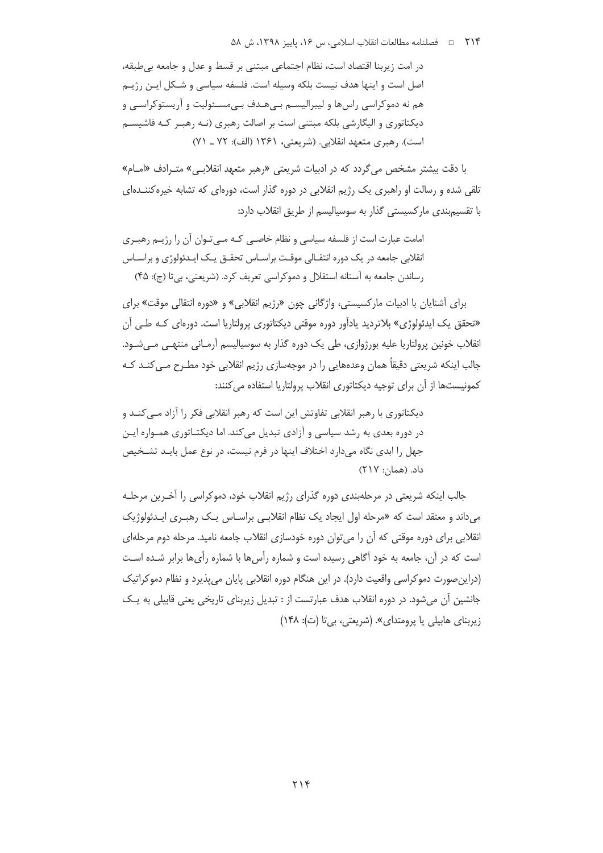در امت زیربنا اقتصاد است، نظام اجتماعی مبتنی بر قسط و عدل و جامعه بی طبقه، اصل است و اينها هدف نيست بلكه وسيله است. فلسفه سياسي و شـكل ايــن رژيــم هم نه دموکراسی راسها و لیبرالیسـم بـیهـدف بـیمسـئولیت و آریستوکراسـی و دیکتاتوری و الیگارشی بلکه مبتنی است بر اصالت رهبری (نـه رهبـر کـه فاشیســم است). رهبري متعهد انقلابي. (شريعتي، ١٣۶١ (الف): ٧٢ ـ ٧١)

با دقت بیشتر مشخص می گردد که در ادبیات شریعتی «رهبر متعهد انقلابـی» متـرادف «امــام» تلقی شده و رسالت او راهبری یک رژیم انقلابی در دوره گذار است، دورهای که تشابه خیره کننــدهای با تقسیم بندی مارکسیستی گذار به سوسیالیسم از طریق انقلاب دارد:

امامت عبارت است از فلسفه سیاسی و نظام خاصی کبه می تبوان آن را رژینی رهیبری انقلابي جامعه در يک دوره انتقــالي موقــت براســاس تحقــق يــک ايــدئولوژي و براســاس رساندن جامعه به آستانه استقلال و دموکراسی تعریف کرد. (شریعتی، بی تا (ج): ۴۵)

برای آشنایان با ادبیات مارکسیستی، واژگانی چون «رژیم انقلابی» و «دوره انتقالی موقت» برای «تحقق یک ایدئولوژی» بلاتردید یادآور دوره موقتی دیکتاتوری پرولتاریا است. دورهای کـه طـی آن انقلاب خونین پرولتاریا علیه بورژوازی، طی یک دوره گذار به سوسیالیسم آرمـانی منتهـی مـیشـود. جالب اپنکه شریعتی دقیقاً همان وعدههایی را در موجهسازی رژیم انقلابی خود مطـرح مـی کنـد کـه كمونيستها از آن براي توجيه ديكتاتوري انقلاب پرولتاريا استفاده مي كنند:

دیکتاتوری با رهبر انقلابی تفاوتش این است که رهبر انقلابی فکر را آزاد مـی کنــد و در دوره بعدی به رشد سیاسی و آزادی تبدیل می کند. اما دیکتـاتوری همـواره ایـن جهل را ابدی نگاه میدارد اختلاف اینها در فرم نیست، در نوع عمل بایـد تشـخیص داد. (همان: ٢١٧)

جالب اینکه شریعتی در مرحلهبندی دوره گذرای رژیم انقلاب خود، دموکراسی را آخـرین مرحلـه می داند و معتقد است که «مرحله اول ایجاد یک نظام انقلابے، براسـاس یـک رهبـری ایـدئولوژیک انقلابی برای دوره موقتی که آن را می توان دوره خودسازی انقلاب جامعه نامید. مرحله دوم مرحلهای است که در آن، جامعه به خود آگاهی رسیده است و شماره رأس ها با شماره رأی ها برابر شـده اسـت (دراین صورت دموکراسی واقعیت دارد). در این هنگام دوره انقلابی پایان می پذیرد و نظام دموکراتیک جانشین آن می شود. در دوره انقلاب هدف عبارتست از : تبدیل زیربنای تاریخی یعنی قابیلی به یک زیربنای هابیلی یا پرومتدای». (شریعتی، بیتا (ت): ۱۴۸)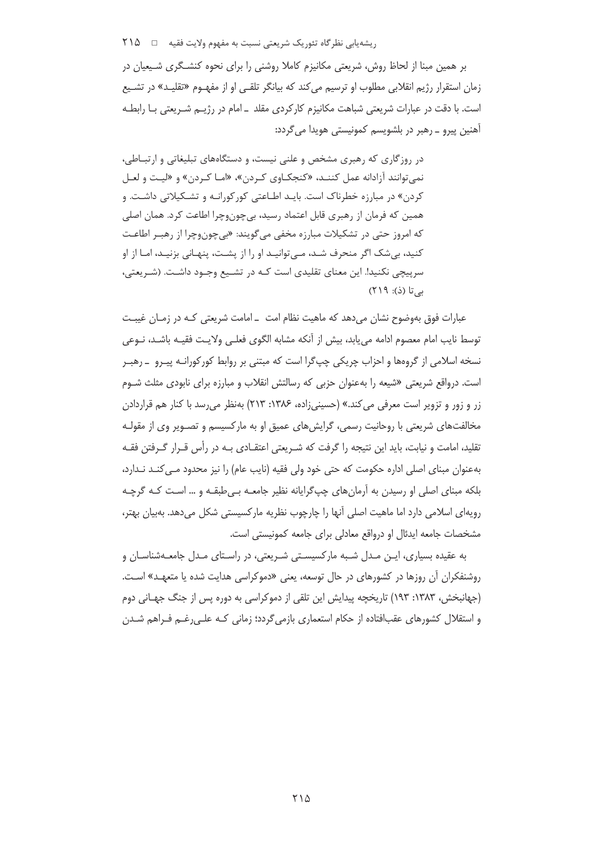ریشه یابی نظر گاه تئوریک شریعتی نسبت به مفهوم ولایت فقیه ⊥ 10 × 1

بر همین مبنا از لحاظ روش، شریعتی مکانیزم کاملا روشنی را برای نحوه کنشـگری شـیعیان در زمان استقرار رژیم انقلابی مطلوب او ترسیم می کند که بیانگر تلقبی او از مفهـوم «تقلیـد» در تشـیع است. با دقت در عبارات شریعتی شباهت مکانیزم کارکردی مقلد ـ امام در رژیـم شـریعتی بـا رابطـه آهنین پیرو ـ رهبر در بلشویسم کمونیستی هویدا می گردد:

در روزگاری که رهبری مشخص و علنی نیست، و دستگاههای تبلیغاتی و ارتبـاطی، نمي توانند آزادانه عمل كننـد، «كنجكـاوي كـردن»، «امـا كـردن» و «ليـت و لعـل کردن» در مبارزه خطرناک است. بایـد اطــاعتی کورکورانــه و تشــکیلاتی داشــت. و همین که فرمان از رهبری قابل اعتماد رسید، بی چونوچرا اطاعت کرد. همان اصلی که امروز حتی در تشکیلات مبارزه مخفی میگویند: «بیچونوچرا از رهبـر اطاعـت کنید، بے شک اگر منحرف شـد، مـی توانیـد او را از پشـت، پنهـانی بزنیـد، امـا از او سرپیچی نکنید!. این معنای تقلیدی است کـه در تشـیع وجـود داشـت. (شـریعتی، بے تا (ذ): ۲۱۹)

عبارات فوق بەوضوح نشان می‹هد که ماهیت نظام امت ـ امامت شریعتی کـه در زمـان غیبـت توسط نايب امام معصوم ادامه مي يابد، بيش از آنكه مشابه الگوى فعلـي ولايـت فقيـه باشـد، نـوعي نسخه اسلامي از گروهها و احزاب چريکي چپگرا است که مبتني بر روابط کورکورانـه پيـرو \_رهبـر است. درواقع شریعتی «شیعه را بهعنوان حزبی که رسالتش انقلاب و مبارزه برای نابودی مثلث شـوم زر و زور و تزویر است معرفی می کند.» (حسینی;اده، ۱۳۸۶: ۲۱۳) بهنظر می,رسد با کنار هم قراردادن مخالفتهای شریعتی با روحانیت رسمی، گرایشهای عمیق او به مارکسیسم و تصـویر وی از مقولـه تقلید، امامت و نیابت، باید این نتیجه را گرفت که شـریعتی اعتقـادی بـه در رأس قـرار گـرفتن فقـه بهعنوان مبناي اصلي اداره حكومت كه حتى خود ولي فقيه (نايب عام) را نيز محدود مـى كنـد نـدارد، بلکه مبنای اصلی او رسیدن به آرمانهای چپگرایانه نظیر جامعـه بـی طبقـه و … اسـت کـه گرچـه رویهای اسلامی دارد اما ماهیت اصلی اّنها را چارچوب نظریه مارکسیستی شکل میدهد. بهبیان بهتر، مشخصات جامعه ایدئال او درواقع معادلی برای جامعه کمونیستی است.

به عقیده بسیاری، ایـن مـدل شـبه مارکسیسـتی شـریعتی، در راسـتای مـدل جامعـهشناسـان و روشنفکران آن روزها در کشورهای در حال توسعه، یعنی «دموکراسی هدایت شده یا متعهـد» اسـت. (جهانبخش، ۱۳۸۳: ۱۹۳) تاریخچه پیدایش این تلقی از دموکراسی به دوره پس از جنگ جهـانی دوم و استقلال کشورهای عقبافتاده از حکام استعماری بازمی گردد؛ زمانی کـه علـی رغـم فـراهم شـدن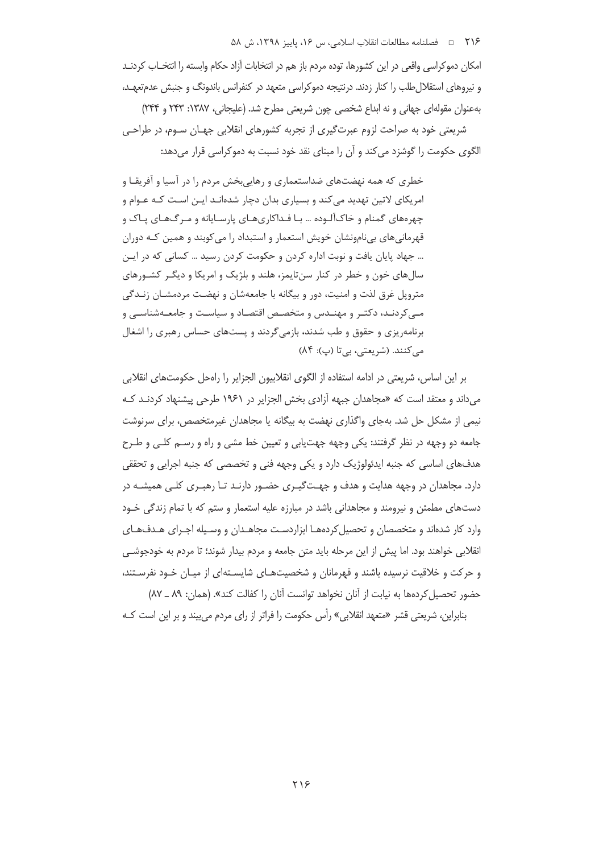امکان دموکراسی واقعی در این کشورها، توده مردم باز هم در انتخابات آزاد حکام وابسته را انتخــاب کردنــد و نیروهای استقلال طلب را کنار زدند. درنتیجه دموکراسی متعهد در کنفرانس باندونگ و جنبش عدمتعهـد، بهعنوان مقولهای جهانی و نه ابداع شخصی چون شریعتی مطرح شد. (علیجانی، ۱۳۸۷: ۲۴۳ و ۲۴۴)

شریعتی خود به صراحت لزوم عبرت $\Sigma$ یری از تجربه کشورهای انقلابی جهـان سـوم، در طراحـی الگوی حکومت را گوشزد می کند و آن را مبنای نقد خود نسبت به دموکراسی قرار می دهد:

خطری که همه نهضتهای ضداستعماری و رهایی بخش مردم را در آسیا و آفریقـا و امریکای لاتین تهدید میکند و بسیاری بدان دچار شدهانـد ایـن اسـت کـه عـوام و چهرههای گمنام و خاکآلـوده … بـا فـداکاریهـای پارسـایانه و مـرگـهـای پـاک و قهرمانی های بی نامونشان خویش استعمار و استبداد را می کوبند و همین کـه دوران ... جهاد پایان یافت و نوبت اداره کردن و حکومت کردن رسید ... کسانی که در ایـن سالهای خون و خطر در کنار سنتایمز، هلند و بلژیک و امریکا و دیگـر کشـورهای متروپل غرق لذت و امنیت، دور و بیگانه با جامعهشان و نهضت مردمشـان زنـدگی مـیکردنـد، دکتـر و مهنـدس و متخصـص اقتصـاد و سیاسـت و جامعـهشناسـی و برنامهریزی و حقوق و طب شدند، بازمی گردند و پستهای حساس رهبری را اشغال مي كنند. (شريعتي، بي تا (پ): ٨۴)

بر این اساس، شریعتی در ادامه استفاده از الگوی انقلابیون الجزایر را راهحل حکومتهای انقلابی می داند و معتقد است که «مجاهدان جبهه آزادی بخش الجزایر در ۱۹۶۱ طرحی پیشنهاد کردنـد کـه نیمی از مشکل حل شد. بهجای واگذاری نهضت به بیگانه یا مجاهدان غیرمتخصص، برای سرنوشت جامعه دو وجهه در نظر گرفتند: یکی وجهه جهت یابی و تعیین خط مشی و راه و رسـم کلـی و طـرح هدفهای اساسی که جنبه ایدئولوژیک دارد و یکی وجهه فنی و تخصصی که جنبه اجرایی و تحققی دارد. مجاهدان در وجهه هدایت و هدف و جهـتگیـری حضـور دارنـد تـا رهبـری کلـی همیشـه در دستهای مطمئن و نیرومند و مجاهدانی باشد در مبارزه علیه استعمار و ستم که با تمام زندگی خـود وارد کار شدهاند و متخصصان و تحصیل کردههـا ابزاردسـت مجاهـدان و وسـیله اجـرای هـدفهـای انقلابی خواهند بود. اما پیش از این مرحله باید متن جامعه و مردم بیدار شوند؛ تا مردم به خودجوشـی و حرکت و خلاقیت نرسیده باشند و قهرمانان و شخصیتهای شایستهای از میـان خـود نفرسـتند، حضور تحصيل كردهها به نيابت از آنان نخواهد توانست آنان را كفالت كند». (همان: ٨٩ ـ ٨٧)

بنابراین، شریعتی قشر «متعهد انقلابی» رأس حکومت را فراتر از رای مردم می بیند و بر این است کـه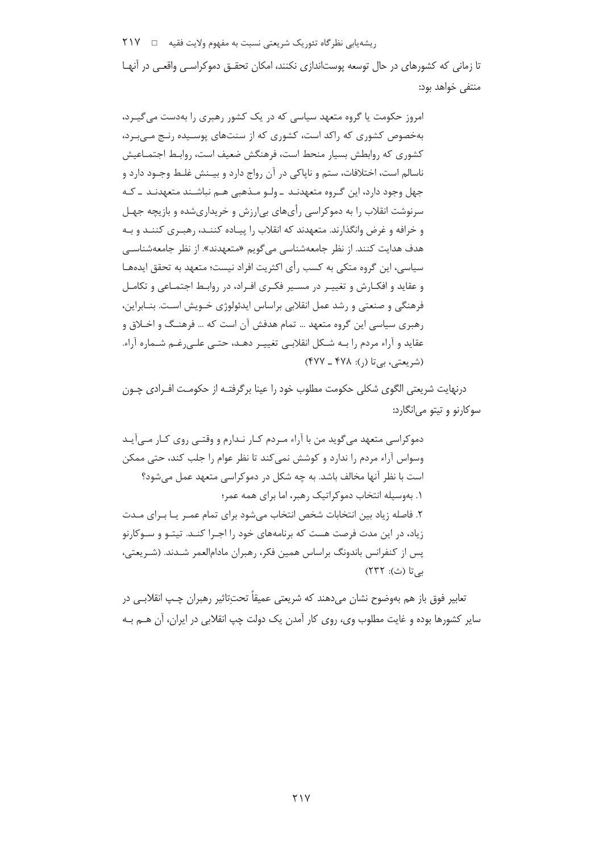ریشه یابی نظر گاه تئوریک شریعتی نسبت به مفهوم ولایت فقیه □ √ ٢١٧ تا زمانی که کشورهای در حال توسعه پوستاندازی نکنند، امکان تحقـق دموکراسـی واقعـی در آنهـا منتفى خواهد بود:

امروز حکومت یا گروه متعهد سیاسی که در یک کشور رهبری را بهدست می گیـرد، بهخصوص کشوری که راکد است، کشوری که از سنتهای پوسیده رنج می برد، کشوری که روابطش بسیار منحط است، فرهنگش ضعیف است، روابـط اجتمــاعیش ناسالم است، اختلافات، ستم و ناپاکی در آن رواج دارد و بیـنش غلـط وجـود دارد و جهل وجود دارد، این گـروه متعهدنـد ـ ولـو مـذهبی هـم نباشـند متعهدنـد ـ کـه سرنوشت انقلاب را به دموکراسی رأیهای بی|رزش و خریداریشده و بازیچه جهـل و خرافه و غرض وانگذارند. متعهدند که انقلاب را پیـاده کننـد، رهبـری کننـد و بـه هدف هدایت کنند. از نظر جامعهشناسی میگویم «متعهدند». از نظر جامعهشناسی سیاسی، این گروه متکی به کسب رأی اکثریت افراد نیست؛ متعهد به تحقق ایدههـا و عقاید و افکـارش و تغییـر در مسـیر فکـری افـراد، در روابـط اجتمـاعی و تکامـل فرهنگی و صنعتی و رشد عمل انقلابی براساس ایدئولوژی خــویش اسـت. بنــابراین، رهبري سياسي اين گروه متعهد … تمام هدفش آن است كه … فرهنگ و اخـلاق و عقايد و آراء مردم را بـه شـكل انقلابـي تغييـر دهـد، حتـي علـي(غـم شـماره آراء. (شریعتی، بی تا (,): ۴۷۸ ـ ۴۷۷)

درنهایت شریعتی الگوی شکلی حکومت مطلوب خود را عینا برگرفتـه از حکومـت افـرادی چـون سوکارنو و تیتو می|نگارد:

دموکراسی متعهد می گوید من با آراء مـردم کـار نـدارم و وقتـی روی کـار مـی آیـد وسواس آراء مردم را ندارد و کوشش نمی کند تا نظر عوام را جلب کند، حتی ممکن است با نظر آنها مخالف باشد. به چه شکل در دموکراسی متعهد عمل می شود؟ ۱. بهوسیله انتخاب دموکراتیک رهبر، اما برای همه عمر؛ ٢. فاصله زياد بين انتخابات شخص انتخاب مي شود براي تمام عمـر يـا بـراي مـدت زیاد، در این مدت فرصت هست که برنامههای خود را اجـرا کنـد. تیتـو و سـوکارنو پس از کنفرانس باندونگ براساس همین فکر، رهبران مادامالعمر شـدند. (شـریعتی، بے تا (ث): ٢٣٢)

تعابير فوق باز هم بەوضوح نشان مىدهند كە شريعتى عميقاً تحتiاثير رهبران چـپ انقلابـي در سایر کشورها بوده و غایت مطلوب وی، روی کار آمدن یک دولت چپ انقلابی در ایران، آن هــم بــه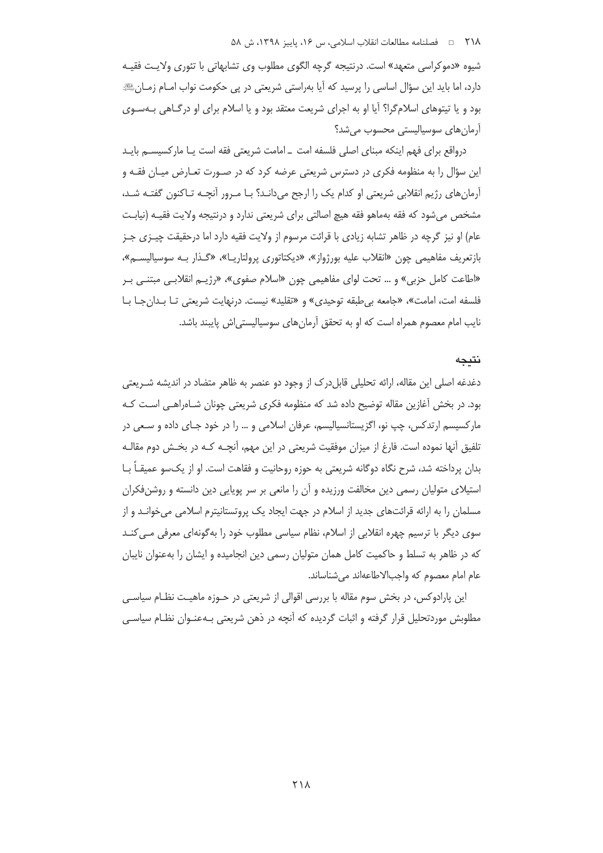#### ٢١٨ ه فصلنامه مطالعات انقلاب اسلامي، س ١۶، پاييز ١٣٩٨، ش ۵٨

شیوه «دموکراسی متعهد» است. درنتیجه گرچه الگوی مطلوب وی تشابهاتی با تئوری ولایت فقیـه دارد، اما باید این سؤال اساسی را پرسید که آیا بهراستی شریعتی در پی حکومت نواب امــام زمــانﷺ بود و یا تیتوهای اسلامگرا؟ آیا او به اجرای شریعت معتقد بود و یا اسلام برای او درگـاهی بـهسـوی آرمان ها*ی* سوسیالیستی محسوب می شد؟

درواقع براي فهم اينكه مبناي اصلى فلسفه امت \_امامت شريعتي فقه است يـا ماركسيســم بايــد این سؤال را به منظومه فکری در دسترس شریعتی عرضه کرد که در صـورت تعـارض میـان فقـه و آرمانِهای رژیم انقلابی شریعتی او کدام یک را ارجح میدانـد؟ بـا مـرور آنچـه تـاکنون گفتـه شـد، مشخص میشود که فقه بهماهو فقه هیچ اصالتی برای شریعتی ندارد و درنتیجه ولایت فقیـه (نیابـت عام) او نیز گرچه در ظاهر تشابه زیادی با قرائت مرسوم از ولایت فقیه دارد اما درحقیقت چیــزی جــز بازتعریف مفاهیمی چون «انقلاب علیه بورژواز»، «دیکتاتوری پرولتاریـا»، «گـذار بـه سوسیالیســم»، «اطاعت كامل حزبي» و … تحت لواي مفاهيمي چون «اسلام صفوي»، «رژيــم انقلابــي مبتنــي بــر فلسفه امت، امامت»، «جامعه بى طبقه توحيدى» و «تقليد» نيست. درنهايت شريعتي تا بدان جا با نایب امام معصوم همراه است که او به تحقق آرمانهای سوسیالیستی اش پایبند باشد.

### نتىجە

دغدغه اصلی این مقاله، ارائه تحلیلی قابلدرک از وجود دو عنصر به ظاهر متضاد در اندیشه شـریعتی بود. در بخش آغازین مقاله توضیح داده شد که منظومه فکری شریعتی چونان شـاهراهـی اسـت کـه مارکسیسم ارتدکس، چپ نو، اگزیستانسیالیسم، عرفان اسلامی و … را در خود جـای داده و سـعی در تلفیق اُنها نموده است. فارغ از میزان موفقیت شریعتی در این مهم، آنچــه کــه در بخــش دوم مقالــه بدان پرداخته شد، شرح نگاه دوگانه شریعتی به حوزه روحانیت و فقاهت است. او از یکسو عمیقـاً بــا استیلای متولیان رسمی دین مخالفت ورزیده و آن را مانعی بر سر پویایی دین دانسته و روشنفکران مسلمان را به ارائه قرائتهای جدید از اسلام در جهت ایجاد یک پروتستانیترم اسلامی میخوانـد و از سوی دیگر با ترسیم چهره انقلابی از اسلام، نظام سیاسی مطلوب خود را به گونهای معرفی مـی کنـد که در ظاهر به تسلط و حاکمیت کامل همان متولیان رسمی دین انجامیده و ایشان را بهعنوان نایبان عام امام معصوم كه واجبالاطاعهاند مي شناساند.

این پارادوکس، در بخش سوم مقاله با بررسی اقوالی از شریعتی در حــوزه ماهیـت نظــام سیاســی مطلوبش موردتحلیل قرار گرفته و اثبات گردیده که آنچه در ذهن شریعتی بـهعنـوان نظـام سیاسـی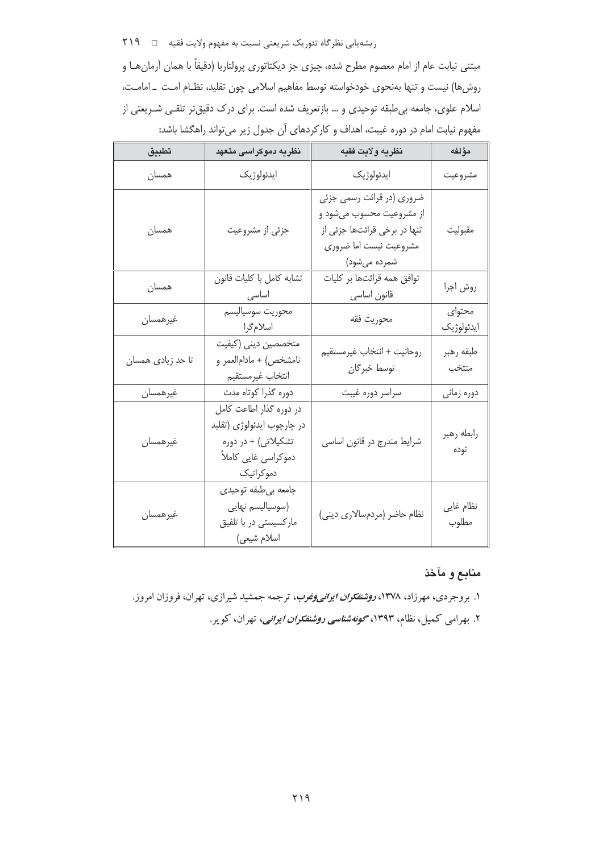ریشهیابی نظرگاه تئوریک شریعتی نسبت به مفهوم ولایت فقیه □ ٢١٩

مبتنی نیابت عام از امام معصوم مطرح شده، چیزی جز دیکتاتوری پرولتاریا (دقیقاً با همان آرمان هـا و روشها) نیست و تنها بهنحوی خودخواسته توسط مفاهیم اسلامی چون تقلید، نظـام امـت \_ امامـت، اسلام علوی، جامعه بی طبقه توحیدی و … بازتعریف شده است. برای درک دقیقتر تلقـی شـریعتی از مفهوم نیابت امام در دوره غیبت، اهداف و کارکردهای آن جدول زیر میتواند راهگشا باشد:

| تطبيق             | نظریه دموکراسی م <mark>تع</mark> هد                                                                               | نظريه ولايت فقيه                                                                                                                | مؤلفه                |
|-------------------|-------------------------------------------------------------------------------------------------------------------|---------------------------------------------------------------------------------------------------------------------------------|----------------------|
| همسان             | ايدئولوژيک                                                                                                        | ايدئولوژيک                                                                                                                      | مشروعيت              |
| همسان             | جزئي از مشروعيت                                                                                                   | ضروری (در قرائت رسمی جزئی<br>از مشروعیت محسوب میشود و<br>تنها در برخی قرائتها جزئی از<br>مشروعيت نيست اما ضرورى<br>شمرده مىشود) | مقبوليت              |
| همسان             | تشابه كامل با كليات قانون<br>اساسی                                                                                | توافق همه قرائتها بر كليات<br>قانون اساسى                                                                                       | روش اجرا             |
| غيرهمسان          | محوريت سوسياليسم<br>اسلامگرا                                                                                      | محوريت فقه                                                                                                                      | محتواي<br>ايدئولوژيک |
| تا حد زیادی همسان | متخصصين دينى (كيفيت<br>نامشخص) + مادام لعمر و<br>انتخاب غيرمستقيم                                                 | روحانيت + انتخاب غيرمستقيم<br>توسط خبرگان                                                                                       | طبقه رهبر<br>منتخب   |
| غيرهمسان          | دوره گذرا کوتاه مدت                                                                                               | سراسر دوره غيبت                                                                                                                 | دوره زماني           |
| غيرهمسان          | در دوره گذار اطاعت کامل<br>در چارچوب ايدئولوژى (تقليد<br>تشکیلاتی) + در دوره<br>دموکراسی غایی کاملاً<br>دموكراتيك | شرایط مندرج در قانون اساسی                                                                                                      | رابطه رهبر<br>توده   |
| غيرهمسان          | جامعه بىطبقه توحيدي<br>(سوسياليسم نهايي<br>مارکسیستی در با تلفیق<br>اسلام شيعي)                                   | نظام حاضر (مردمسالاری دینی)                                                                                                     | نظام غايي<br>مطلوب   |

# منابع و مآخذ

۱. بروجردی، مهرزاد، ۱۳۷۸، *روشنفکران ایرانی وغوب*، ترجمه جمشید شیرازی، تهران، فروزان امروز. ۲. بهرامی کمیل، نظام، ۱۳۹۳، *گونهشناسی روشنفکران ایرانی*، تهران، کویر.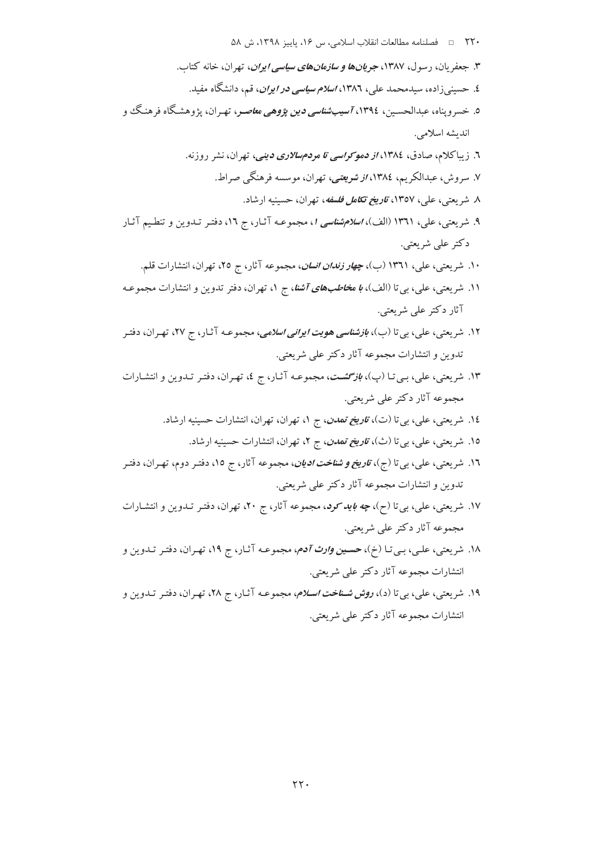- ٢٢٠ = فصلنامه مطالعات انقلاب اسلامي، س ١۶، ياييز ١٣٩٨، ش ۵٨
- ۳. جعفریان، رسول، ۱۳۸۷، جری*انها و سازمانهای سیاسی ایران*، تهران، خانه کتاب. ٤. حسینی زاده، سیدمحمد علی، ١٣٨٦، *اسلام سیاسی در ایران*، قم، دانشگاه مفید. ٥. خسروپناه، عبدالحســين، ١٣٩٤،*7سيبـشناسي دين پژوهي معاصـ*ر، تهـران، يژوهشـگاه فرهنـگ و اندىشە اسلامى. ٦. زیباکلام، صادق، ١٣٨٤، *از دموکراسی تا مردم سالاری دینی،* تهران، نشر روزنه. ۷. سروش، عبدالکریم، ۱۳۸٤، *از شویعتی،* تهران، موسسه فرهنگی صراط. ۸. شریعتی، علی، ۱۳۵۷، *تاریخ تکامل فلسفه*، تهران، حسینیه ارشاد. ۹. شریعتی، علی، ۱۳۶۱ (الف)، *اسلامشناسی ۱*، مجموعـه آثـار، ج ۱۲، دفتـر تــدوین و تنطـیم آثـار دكتر على شريعتي. ۱۰. شریعتی، علی، ۱۳۶۱ (ب)، *چهار زندان انسان*، مجموعه آثار، ج ۲۵، تهران، انتشارات قلم. ۱۱. شریعتی، علی، بی تا (الف)، *با م<del>خاط</del>بهای آشنا*، ج ۱، تهران، دفتر تدوین و انتشارات مجموعـه آثار دکتر علمي شريعتي. ۱۲. شریعتی، علی، بی تا (ب)، *بازشناسی هویت ایرانی اسلامی*، مجموعـه آثـار، ج ۲۷، تهـران، دفتـر تدوين و انتشارات مجموعه آثار دکتر علي شريعتي.
- ۱۳. شریعتی، علی، بـی تـا (پ)، *بازگشـت*، مجموعـه آثـار، ج ٤، تهـران، دفتـر تـدوین و انتشـارات مجموعه آثار دکتر علمی شریعتی.
	- ۱۶. شریعتی، علی، بیتا (ت)، *ت<mark>اریخ تمدن</mark>، ج ۱*، تهران، تهران، انتشارات حسینیه ارشاد.
		- ۱۵. شریعتی، علی، بی تا (ث)، *تاریخ تمدن*، ج ۲، تهران، انتشارات حسینیه ارشاد.
- ۱۲. شریعتی، علی، بیتا (ج)، *تاریخ و شناخت ادیان*، مجموعه آثار، ج ۱۵، دفتـر دوم، تهـران، دفتـر تدوين و انتشارات مجموعه آثار دكتر على شريعتي.
- ۱۷. شریعتی، علی، بیتا (ح)، *چه باید کود*، مجموعه آثار، ج ۲۰، تهران، دفتـر تـدوین و انتشـارات مجموعه آثار دکتر علمي شريعتي.
- ۱۸. شریعتی، علـی، بـیتـا (خ)، حسـی*ن وارث آدم*، مجموعـه آثـار، ج ۱۹، تهـران، دفتـر تـدوین و انتشارات مجموعه آثار دکتر علمی شریعتی.
- ۱۹. شریعتی، علی، بی تا (د)، *روش شـناخت اسـلام*، مجموعـه آثـار، ج ۲۸، تهـران، دفتـر تـدوین و انتشارات مجموعه آثار دکتر علمی شریعتی.